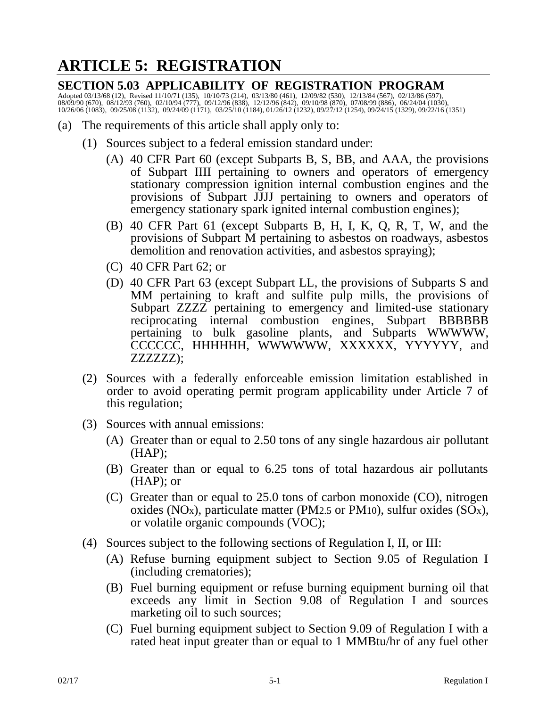# **ARTICLE 5: REGISTRATION**

## **SECTION 5.03 APPLICABILITY OF REGISTRATION PROGRAM**

Adopted 03/13/68 (12), Revised 11/10/71 (135), 10/10/73 (214), 03/13/80 (461), 12/09/82 (530), 12/13/84 (567), 02/13/86 (597), 08/09/90 (670), 08/12/93 (760), 02/10/94 (777), 09/12/96 (838), 12/12/96 (842), 09/10/98 (870), 07/08/99 (886), 06/24/04 (1030), 10/26/06 (1083), 09/25/08 (1132), 09/24/09 (1171), 03/25/10 (1184), 01/26/12 (1232), 09/27/12 (1254), 09/24/15 (1329), 09/22/16 (1351)

- (a) The requirements of this article shall apply only to:
	- (1) Sources subject to a federal emission standard under:
		- (A) 40 CFR Part 60 (except Subparts B, S, BB, and AAA, the provisions of Subpart IIII pertaining to owners and operators of emergency stationary compression ignition internal combustion engines and the provisions of Subpart JJJJ pertaining to owners and operators of emergency stationary spark ignited internal combustion engines);
		- (B) 40 CFR Part 61 (except Subparts B, H, I, K, Q, R, T, W, and the provisions of Subpart M pertaining to asbestos on roadways, asbestos demolition and renovation activities, and asbestos spraying);
		- (C) 40 CFR Part 62; or
		- (D) 40 CFR Part 63 (except Subpart LL, the provisions of Subparts S and MM pertaining to kraft and sulfite pulp mills, the provisions of Subpart ZZZZ pertaining to emergency and limited-use stationary reciprocating internal combustion engines, Subpart BBBBBB pertaining to bulk gasoline plants, and Subparts WWWWW, CCCCCC, HHHHHH, WWWWWW, XXXXXX, YYYYYY, and ZZZZZZ);
	- (2) Sources with a federally enforceable emission limitation established in order to avoid operating permit program applicability under Article 7 of this regulation;
	- (3) Sources with annual emissions:
		- (A) Greater than or equal to 2.50 tons of any single hazardous air pollutant (HAP);
		- (B) Greater than or equal to 6.25 tons of total hazardous air pollutants (HAP); or
		- (C) Greater than or equal to 25.0 tons of carbon monoxide (CO), nitrogen oxides (NO<sub>x</sub>), particulate matter (PM2.5 or PM10), sulfur oxides (SO<sub>x</sub>), or volatile organic compounds (VOC);
	- (4) Sources subject to the following sections of Regulation I, II, or III:
		- (A) Refuse burning equipment subject to Section 9.05 of Regulation I (including crematories);
		- (B) Fuel burning equipment or refuse burning equipment burning oil that exceeds any limit in Section 9.08 of Regulation I and sources marketing oil to such sources;
		- (C) Fuel burning equipment subject to Section 9.09 of Regulation I with a rated heat input greater than or equal to 1 MMBtu/hr of any fuel other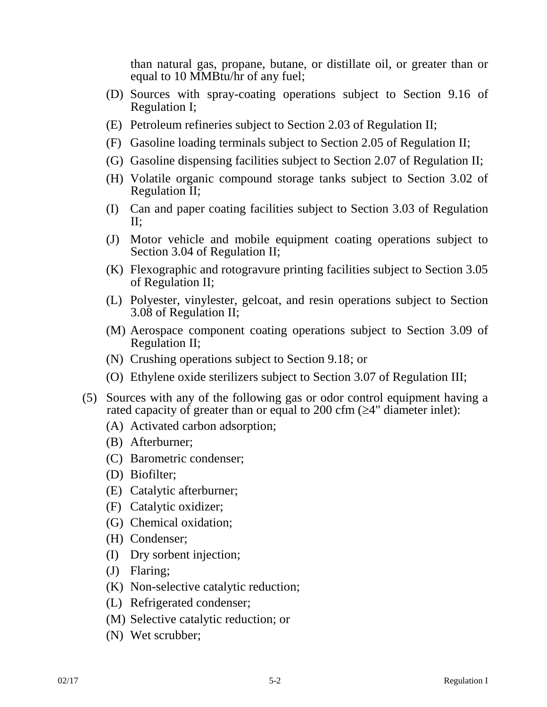than natural gas, propane, butane, or distillate oil, or greater than or equal to 10 MMBtu/hr of any fuel;

- (D) Sources with spray-coating operations subject to Section 9.16 of Regulation I;
- (E) Petroleum refineries subject to Section 2.03 of Regulation II;
- (F) Gasoline loading terminals subject to Section 2.05 of Regulation II;
- (G) Gasoline dispensing facilities subject to Section 2.07 of Regulation II;
- (H) Volatile organic compound storage tanks subject to Section 3.02 of Regulation II;
- (I) Can and paper coating facilities subject to Section 3.03 of Regulation II;
- (J) Motor vehicle and mobile equipment coating operations subject to Section 3.04 of Regulation II;
- (K) Flexographic and rotogravure printing facilities subject to Section 3.05 of Regulation II;
- (L) Polyester, vinylester, gelcoat, and resin operations subject to Section 3.08 of Regulation II;
- (M) Aerospace component coating operations subject to Section 3.09 of Regulation II;
- (N) Crushing operations subject to Section 9.18; or
- (O) Ethylene oxide sterilizers subject to Section 3.07 of Regulation III;
- (5) Sources with any of the following gas or odor control equipment having a rated capacity of greater than or equal to 200 cfm  $(\geq 4"$  diameter inlet):
	- (A) Activated carbon adsorption;
	- (B) Afterburner;
	- (C) Barometric condenser;
	- (D) Biofilter;
	- (E) Catalytic afterburner;
	- (F) Catalytic oxidizer;
	- (G) Chemical oxidation;
	- (H) Condenser;
	- (I) Dry sorbent injection;
	- (J) Flaring;
	- (K) Non-selective catalytic reduction;
	- (L) Refrigerated condenser;
	- (M) Selective catalytic reduction; or
	- (N) Wet scrubber;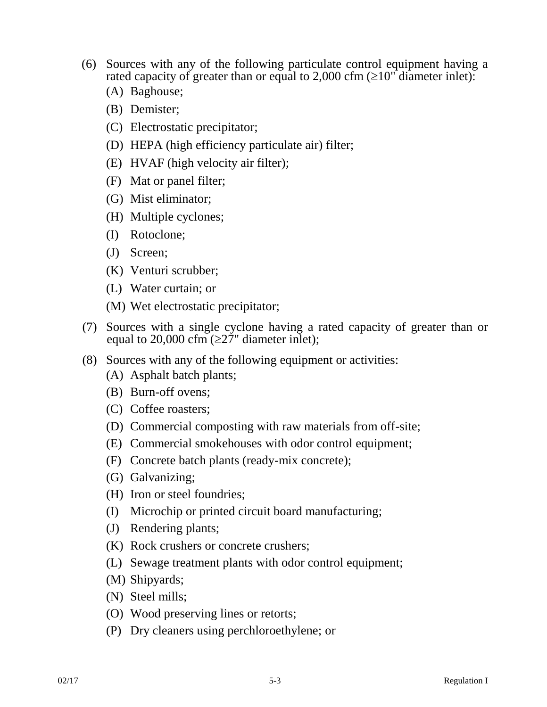- (6) Sources with any of the following particulate control equipment having a rated capacity of greater than or equal to 2,000 cfm  $(\geq 10"$  diameter inlet):
	- (A) Baghouse;
	- (B) Demister;
	- (C) Electrostatic precipitator;
	- (D) HEPA (high efficiency particulate air) filter;
	- (E) HVAF (high velocity air filter);
	- (F) Mat or panel filter;
	- (G) Mist eliminator;
	- (H) Multiple cyclones;
	- (I) Rotoclone;
	- (J) Screen;
	- (K) Venturi scrubber;
	- (L) Water curtain; or
	- (M) Wet electrostatic precipitator;
- (7) Sources with a single cyclone having a rated capacity of greater than or equal to 20,000 cfm  $(\geq 27$ " diameter inlet);
- (8) Sources with any of the following equipment or activities:
	- (A) Asphalt batch plants;
	- (B) Burn-off ovens;
	- (C) Coffee roasters;
	- (D) Commercial composting with raw materials from off-site;
	- (E) Commercial smokehouses with odor control equipment;
	- (F) Concrete batch plants (ready-mix concrete);
	- (G) Galvanizing;
	- (H) Iron or steel foundries;
	- (I) Microchip or printed circuit board manufacturing;
	- (J) Rendering plants;
	- (K) Rock crushers or concrete crushers;
	- (L) Sewage treatment plants with odor control equipment;
	- (M) Shipyards;
	- (N) Steel mills;
	- (O) Wood preserving lines or retorts;
	- (P) Dry cleaners using perchloroethylene; or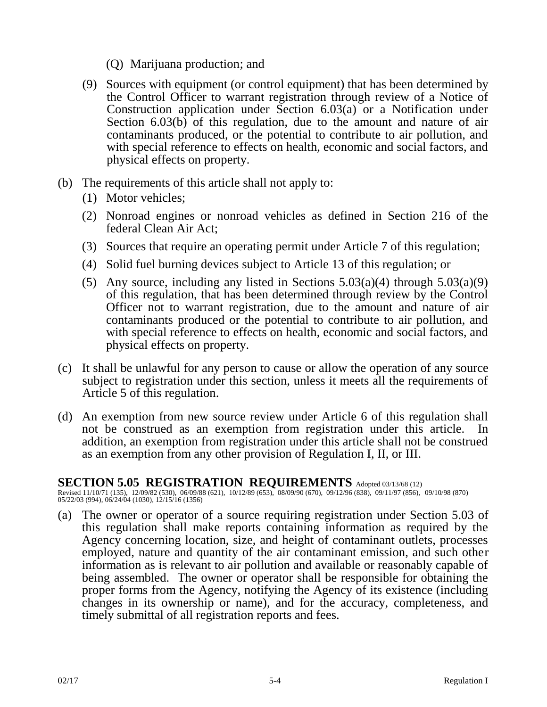- (Q) Marijuana production; and
- (9) Sources with equipment (or control equipment) that has been determined by the Control Officer to warrant registration through review of a Notice of Construction application under Section 6.03(a) or a Notification under Section 6.03(b) of this regulation, due to the amount and nature of air contaminants produced, or the potential to contribute to air pollution, and with special reference to effects on health, economic and social factors, and physical effects on property.
- (b) The requirements of this article shall not apply to:
	- (1) Motor vehicles;
	- (2) Nonroad engines or nonroad vehicles as defined in Section 216 of the federal Clean Air Act;
	- (3) Sources that require an operating permit under Article 7 of this regulation;
	- (4) Solid fuel burning devices subject to Article 13 of this regulation; or
	- (5) Any source, including any listed in Sections  $5.03(a)(4)$  through  $5.03(a)(9)$ of this regulation, that has been determined through review by the Control Officer not to warrant registration, due to the amount and nature of air contaminants produced or the potential to contribute to air pollution, and with special reference to effects on health, economic and social factors, and physical effects on property.
- (c) It shall be unlawful for any person to cause or allow the operation of any source subject to registration under this section, unless it meets all the requirements of Article 5 of this regulation.
- (d) An exemption from new source review under Article 6 of this regulation shall not be construed as an exemption from registration under this article. In addition, an exemption from registration under this article shall not be construed as an exemption from any other provision of Regulation I, II, or III.

# **SECTION 5.05 REGISTRATION REQUIREMENTS** Adopted 03/13/68 (12)

Revised 11/10/71 (135), 12/09/82 (530), 06/09/88 (621), 10/12/89 (653), 08/09/90 (670), 09/12/96 (838), 09/11/97 (856), 09/10/98 (870) 05/22/03 (994), 06/24/04 (1030), 12/15/16 (1356)

(a) The owner or operator of a source requiring registration under Section 5.03 of this regulation shall make reports containing information as required by the Agency concerning location, size, and height of contaminant outlets, processes employed, nature and quantity of the air contaminant emission, and such other information as is relevant to air pollution and available or reasonably capable of being assembled. The owner or operator shall be responsible for obtaining the proper forms from the Agency, notifying the Agency of its existence (including changes in its ownership or name), and for the accuracy, completeness, and timely submittal of all registration reports and fees.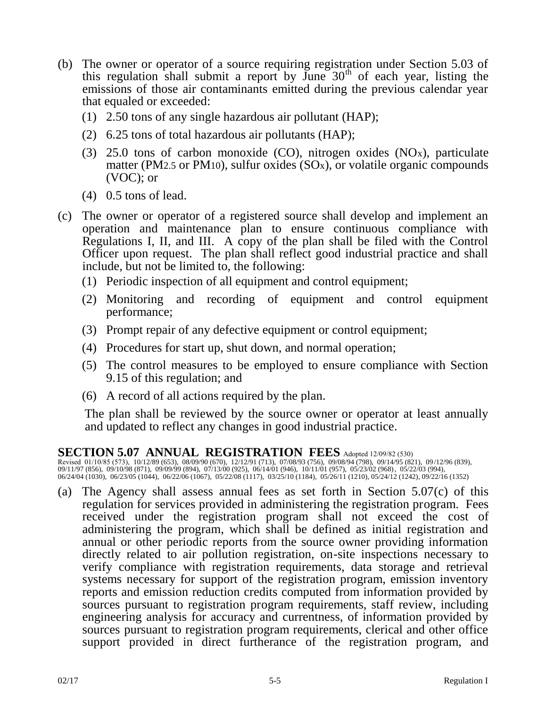- (b) The owner or operator of a source requiring registration under Section 5.03 of this regulation shall submit a report by  $\overrightarrow{J}$ une  $30<sup>th</sup>$  of each year, listing the emissions of those air contaminants emitted during the previous calendar year that equaled or exceeded:
	- (1) 2.50 tons of any single hazardous air pollutant (HAP);
	- (2) 6.25 tons of total hazardous air pollutants (HAP);
	- (3) 25.0 tons of carbon monoxide  $(CO)$ , nitrogen oxides  $(NOx)$ , particulate matter (PM2.5 or PM10), sulfur oxides  $(SOx)$ , or volatile organic compounds (VOC); or
	- (4) 0.5 tons of lead.
- (c) The owner or operator of a registered source shall develop and implement an operation and maintenance plan to ensure continuous compliance with Regulations I, II, and III. A copy of the plan shall be filed with the Control Officer upon request. The plan shall reflect good industrial practice and shall include, but not be limited to, the following:
	- (1) Periodic inspection of all equipment and control equipment;
	- (2) Monitoring and recording of equipment and control equipment performance;
	- (3) Prompt repair of any defective equipment or control equipment;
	- (4) Procedures for start up, shut down, and normal operation;
	- (5) The control measures to be employed to ensure compliance with Section 9.15 of this regulation; and
	- (6) A record of all actions required by the plan.

The plan shall be reviewed by the source owner or operator at least annually and updated to reflect any changes in good industrial practice.

### **SECTION 5.07 ANNUAL REGISTRATION FEES** Adopted 12/09/82 (530)

Revised 01/10/85 (573), 10/12/89 (653), 08/09/90 (670), 12/12/91 (713), 07/08/93 (756), 09/08/94 (798), 09/14/95 (821), 09 /12/96 (839), 09/11/97 (856), 09/10/98 (871), 09/09/99 (894), 07/13/00 (925), 06/14/01 (946), 10/11/01 (957), 05/23/02 (968), 05/22/03 (994), 06/24/04 (1030), 06/23/05 (1044), 06/22/06 (1067), 05/22/08 (1117), 03/25/10 (1184), 05/26/11 (1210), 05/24/12 (1242), 09/22/16 (1352)

(a) The Agency shall assess annual fees as set forth in Section 5.07(c) of this regulation for services provided in administering the registration program. Fees received under the registration program shall not exceed the cost of administering the program, which shall be defined as initial registration and annual or other periodic reports from the source owner providing information directly related to air pollution registration, on-site inspections necessary to verify compliance with registration requirements, data storage and retrieval systems necessary for support of the registration program, emission inventory reports and emission reduction credits computed from information provided by sources pursuant to registration program requirements, staff review, including engineering analysis for accuracy and currentness, of information provided by sources pursuant to registration program requirements, clerical and other office support provided in direct furtherance of the registration program, and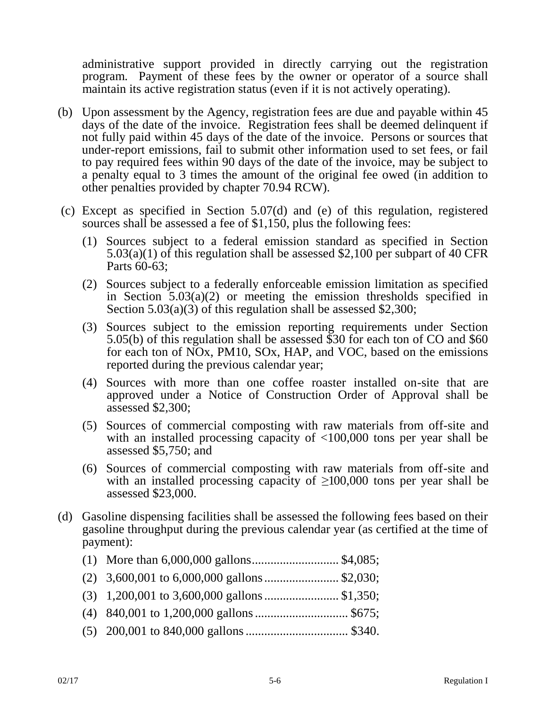administrative support provided in directly carrying out the registration program. Payment of these fees by the owner or operator of a source shall maintain its active registration status (even if it is not actively operating).

- (b) Upon assessment by the Agency, registration fees are due and payable within 45 days of the date of the invoice. Registration fees shall be deemed delinquent if not fully paid within 45 days of the date of the invoice. Persons or sources that under-report emissions, fail to submit other information used to set fees, or fail to pay required fees within 90 days of the date of the invoice, may be subject to a penalty equal to 3 times the amount of the original fee owed (in addition to other penalties provided by chapter 70.94 RCW).
- (c) Except as specified in Section 5.07(d) and (e) of this regulation, registered sources shall be assessed a fee of \$1,150, plus the following fees:
	- (1) Sources subject to a federal emission standard as specified in Section 5.03(a)(1) of this regulation shall be assessed \$2,100 per subpart of 40 CFR Parts 60-63;
	- (2) Sources subject to a federally enforceable emission limitation as specified in Section  $5.03(a)(2)$  or meeting the emission thresholds specified in Section 5.03(a)(3) of this regulation shall be assessed \$2,300;
	- (3) Sources subject to the emission reporting requirements under Section 5.05(b) of this regulation shall be assessed \$30 for each ton of CO and \$60 for each ton of NOx, PM10, SOx, HAP, and VOC, based on the emissions reported during the previous calendar year;
	- (4) Sources with more than one coffee roaster installed on-site that are approved under a Notice of Construction Order of Approval shall be assessed \$2,300;
	- (5) Sources of commercial composting with raw materials from off-site and with an installed processing capacity of  $\langle 100,000 \rangle$  tons per year shall be assessed \$5,750; and
	- (6) Sources of commercial composting with raw materials from off-site and with an installed processing capacity of  $\geq 100,000$  tons per year shall be assessed \$23,000.
- (d) Gasoline dispensing facilities shall be assessed the following fees based on their gasoline throughput during the previous calendar year (as certified at the time of payment):

| (1) More than $6,000,000$ gallons\$4,085;     |  |
|-----------------------------------------------|--|
|                                               |  |
| $(3)$ 1,200,001 to 3,600,000 gallons \$1,350; |  |
|                                               |  |
| $(5)$ 200.001 to 0.40.000 pollows (2.40)      |  |

(5) 200,001 to 840,000 gallons................................. \$340.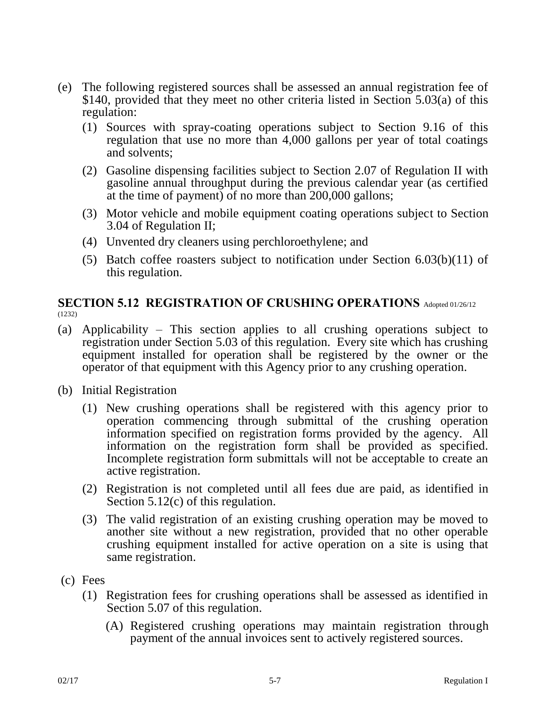- (e) The following registered sources shall be assessed an annual registration fee of \$140, provided that they meet no other criteria listed in Section 5.03(a) of this regulation:
	- (1) Sources with spray-coating operations subject to Section 9.16 of this regulation that use no more than 4,000 gallons per year of total coatings and solvents;
	- (2) Gasoline dispensing facilities subject to Section 2.07 of Regulation II with gasoline annual throughput during the previous calendar year (as certified at the time of payment) of no more than 200,000 gallons;
	- (3) Motor vehicle and mobile equipment coating operations subject to Section 3.04 of Regulation II;
	- (4) Unvented dry cleaners using perchloroethylene; and
	- (5) Batch coffee roasters subject to notification under Section 6.03(b)(11) of this regulation.

#### **SECTION 5.12 REGISTRATION OF CRUSHING OPERATIONS** Adopted 01/26/12 (1232)

- (a) Applicability This section applies to all crushing operations subject to registration under Section 5.03 of this regulation. Every site which has crushing equipment installed for operation shall be registered by the owner or the operator of that equipment with this Agency prior to any crushing operation.
- (b) Initial Registration
	- (1) New crushing operations shall be registered with this agency prior to operation commencing through submittal of the crushing operation information specified on registration forms provided by the agency. All information on the registration form shall be provided as specified. Incomplete registration form submittals will not be acceptable to create an active registration.
	- (2) Registration is not completed until all fees due are paid, as identified in Section 5.12(c) of this regulation.
	- (3) The valid registration of an existing crushing operation may be moved to another site without a new registration, provided that no other operable crushing equipment installed for active operation on a site is using that same registration.
- (c) Fees
	- (1) Registration fees for crushing operations shall be assessed as identified in Section 5.07 of this regulation.
		- (A) Registered crushing operations may maintain registration through payment of the annual invoices sent to actively registered sources.